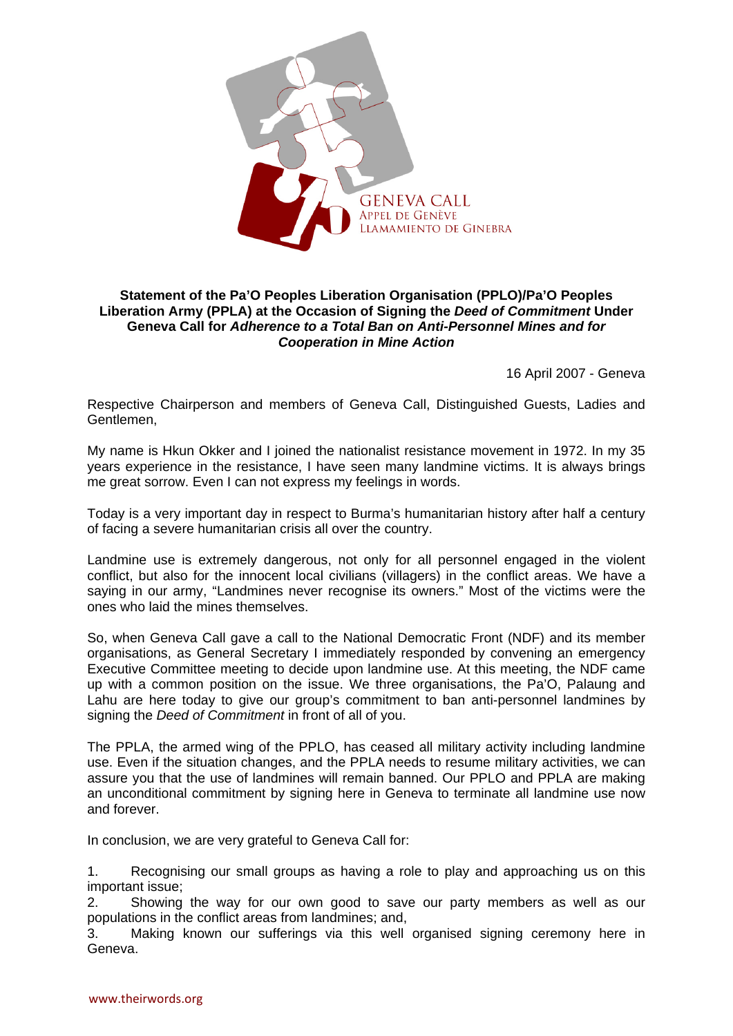

## **Statement of the Pa'O Peoples Liberation Organisation (PPLO)/Pa'O Peoples Liberation Army (PPLA) at the Occasion of Signing the** *Deed of Commitment* **Under Geneva Call for** *Adherence to a Total Ban on Anti-Personnel Mines and for Cooperation in Mine Action*

16 April 2007 - Geneva

Respective Chairperson and members of Geneva Call, Distinguished Guests, Ladies and Gentlemen,

My name is Hkun Okker and I joined the nationalist resistance movement in 1972. In my 35 years experience in the resistance, I have seen many landmine victims. It is always brings me great sorrow. Even I can not express my feelings in words.

Today is a very important day in respect to Burma's humanitarian history after half a century of facing a severe humanitarian crisis all over the country.

Landmine use is extremely dangerous, not only for all personnel engaged in the violent conflict, but also for the innocent local civilians (villagers) in the conflict areas. We have a saying in our army, "Landmines never recognise its owners." Most of the victims were the ones who laid the mines themselves.

So, when Geneva Call gave a call to the National Democratic Front (NDF) and its member organisations, as General Secretary I immediately responded by convening an emergency Executive Committee meeting to decide upon landmine use. At this meeting, the NDF came up with a common position on the issue. We three organisations, the Pa'O, Palaung and Lahu are here today to give our group's commitment to ban anti-personnel landmines by signing the *Deed of Commitment* in front of all of you.

The PPLA, the armed wing of the PPLO, has ceased all military activity including landmine use. Even if the situation changes, and the PPLA needs to resume military activities, we can assure you that the use of landmines will remain banned. Our PPLO and PPLA are making an unconditional commitment by signing here in Geneva to terminate all landmine use now and forever.

In conclusion, we are very grateful to Geneva Call for:

1. Recognising our small groups as having a role to play and approaching us on this important issue;

2. Showing the way for our own good to save our party members as well as our populations in the conflict areas from landmines; and,

3. Making known our sufferings via this well organised signing ceremony here in Geneva.